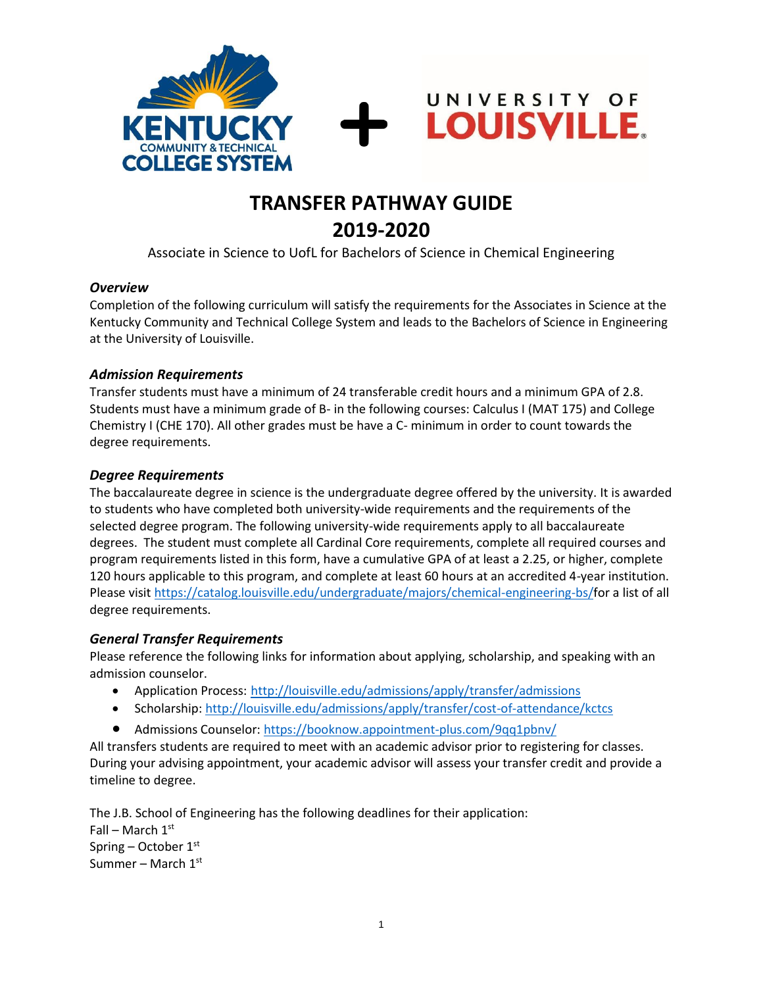



UNIVERSITY OF

**LOUISVILLE.** 

Associate in Science to UofL for Bachelors of Science in Chemical Engineering

#### *Overview*

Completion of the following curriculum will satisfy the requirements for the Associates in Science at the Kentucky Community and Technical College System and leads to the Bachelors of Science in Engineering at the University of Louisville.

#### *Admission Requirements*

Transfer students must have a minimum of 24 transferable credit hours and a minimum GPA of 2.8. Students must have a minimum grade of B- in the following courses: Calculus I (MAT 175) and College Chemistry I (CHE 170). All other grades must be have a C- minimum in order to count towards the degree requirements.

#### *Degree Requirements*

The baccalaureate degree in science is the undergraduate degree offered by the university. It is awarded to students who have completed both university-wide requirements and the requirements of the selected degree program. The following university-wide requirements apply to all baccalaureate degrees. The student must complete all Cardinal Core requirements, complete all required courses and program requirements listed in this form, have a cumulative GPA of at least a 2.25, or higher, complete 120 hours applicable to this program, and complete at least 60 hours at an accredited 4-year institution. Please visit https://catalog.louisville.edu/undergraduate/majors/chemical-engineering-bs/for a list of all degree requirements.

#### *General Transfer Requirements*

Please reference the following links for information about applying, scholarship, and speaking with an admission counselor.

- Application Process: http://louisville.edu/admissions/apply/transfer/admissions
- Scholarship[: http://louisville.edu/admissions/apply/transfer/cost-of-attendance/kctcs](http://louisville.edu/admissions/apply/transfer/cost-of-attendance/kctcs)
- Admissions Counselor[: https://booknow.appointment-plus.com/9qq1pbnv/](https://booknow.appointment-plus.com/9qq1pbnv/)

All transfers students are required to meet with an academic advisor prior to registering for classes. During your advising appointment, your academic advisor will assess your transfer credit and provide a timeline to degree.

The J.B. School of Engineering has the following deadlines for their application: Fall – March  $1<sup>st</sup>$ Spring – October  $1<sup>st</sup>$ Summer – March  $1<sup>st</sup>$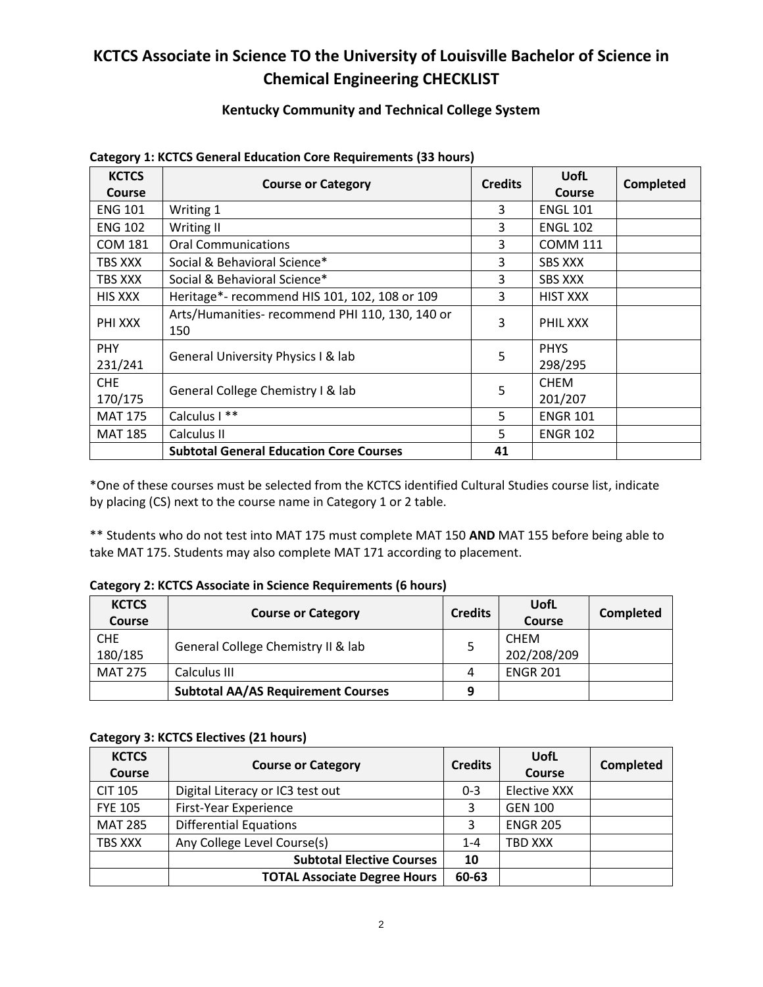## **KCTCS Associate in Science TO the University of Louisville Bachelor of Science in Chemical Engineering CHECKLIST**

#### **Kentucky Community and Technical College System**

| <b>KCTCS</b><br>Course | <b>Course or Category</b>                              | <b>Credits</b> | <b>UofL</b><br>Course  | Completed |
|------------------------|--------------------------------------------------------|----------------|------------------------|-----------|
| <b>ENG 101</b>         | Writing 1                                              | 3              | <b>ENGL 101</b>        |           |
| <b>ENG 102</b>         | Writing II                                             | 3              | <b>ENGL 102</b>        |           |
| <b>COM 181</b>         | <b>Oral Communications</b>                             | 3              | <b>COMM 111</b>        |           |
| TBS XXX                | Social & Behavioral Science*                           | 3              | <b>SBS XXX</b>         |           |
| TBS XXX                | Social & Behavioral Science*                           | 3              | <b>SBS XXX</b>         |           |
| HIS XXX                | Heritage*- recommend HIS 101, 102, 108 or 109          | 3              | <b>HIST XXX</b>        |           |
| PHI XXX                | Arts/Humanities- recommend PHI 110, 130, 140 or<br>150 | 3              | PHIL XXX               |           |
| <b>PHY</b><br>231/241  | General University Physics I & lab                     | 5              | <b>PHYS</b><br>298/295 |           |
| <b>CHE</b><br>170/175  | General College Chemistry I & lab                      | 5              | <b>CHEM</b><br>201/207 |           |
| <b>MAT 175</b>         | Calculus I **                                          | 5              | <b>ENGR 101</b>        |           |
| <b>MAT 185</b>         | Calculus II                                            | 5              | <b>ENGR 102</b>        |           |
|                        | <b>Subtotal General Education Core Courses</b>         | 41             |                        |           |

#### **Category 1: KCTCS General Education Core Requirements (33 hours)**

\*One of these courses must be selected from the KCTCS identified Cultural Studies course list, indicate by placing (CS) next to the course name in Category 1 or 2 table.

\*\* Students who do not test into MAT 175 must complete MAT 150 **AND** MAT 155 before being able to take MAT 175. Students may also complete MAT 171 according to placement.

#### **Category 2: KCTCS Associate in Science Requirements (6 hours)**

| <b>KCTCS</b><br><b>Course</b> | <b>Course or Category</b>                 | <b>Credits</b> | UofL<br>Course             | Completed |
|-------------------------------|-------------------------------------------|----------------|----------------------------|-----------|
| <b>CHE</b><br>180/185         | General College Chemistry II & lab        |                | <b>CHEM</b><br>202/208/209 |           |
| <b>MAT 275</b>                | Calculus III                              | 4              | <b>ENGR 201</b>            |           |
|                               | <b>Subtotal AA/AS Requirement Courses</b> | 9              |                            |           |

#### **Category 3: KCTCS Electives (21 hours)**

| <b>KCTCS</b><br><b>Course</b> | <b>Course or Category</b>           | <b>Credits</b> | UofL<br>Course      | <b>Completed</b> |
|-------------------------------|-------------------------------------|----------------|---------------------|------------------|
| <b>CIT 105</b>                | Digital Literacy or IC3 test out    | $0 - 3$        | <b>Elective XXX</b> |                  |
| <b>FYE 105</b>                | First-Year Experience               |                | <b>GEN 100</b>      |                  |
| <b>MAT 285</b>                | <b>Differential Equations</b>       | 3              | <b>ENGR 205</b>     |                  |
| TBS XXX                       | Any College Level Course(s)         | $1 - 4$        | TBD XXX             |                  |
|                               | <b>Subtotal Elective Courses</b>    | 10             |                     |                  |
|                               | <b>TOTAL Associate Degree Hours</b> | 60-63          |                     |                  |